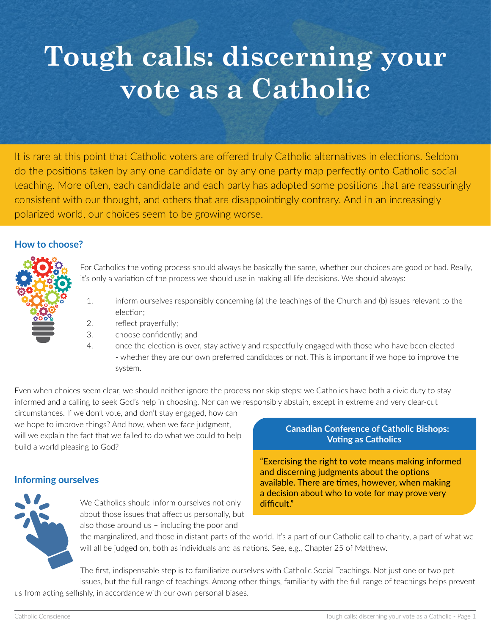# **Tough calls: discerning your vote as a Catholic**

It is rare at this point that Catholic voters are offered truly Catholic alternatives in elections. Seldom do the positions taken by any one candidate or by any one party map perfectly onto Catholic social teaching. More often, each candidate and each party has adopted some positions that are reassuringly consistent with our thought, and others that are disappointingly contrary. And in an increasingly polarized world, our choices seem to be growing worse.

## **How to choose?**



For Catholics the voting process should always be basically the same, whether our choices are good or bad. Really, it's only a variation of the process we should use in making all life decisions. We should always:

- 1. inform ourselves responsibly concerning (a) the teachings of the Church and (b) issues relevant to the election;
- 2. reflect prayerfully;
- 3. choose confidently; and
- 4. once the election is over, stay actively and respectfully engaged with those who have been elected - whether they are our own preferred candidates or not. This is important if we hope to improve the system.

Even when choices seem clear, we should neither ignore the process nor skip steps: we Catholics have both a civic duty to stay informed and a calling to seek God's help in choosing. Nor can we responsibly abstain, except in extreme and very clear-cut

circumstances. If we don't vote, and don't stay engaged, how can we hope to improve things? And how, when we face judgment, will we explain the fact that we failed to do what we could to help build a world pleasing to God?

#### **Informing ourselves**



We Catholics should inform ourselves not only about those issues that affect us personally, but also those around us – including the poor and

#### **Canadian Conference of Catholic Bishops: Voting as Catholics**

"Exercising the right to vote means making informed and discerning judgments about the options available. There are times, however, when making a decision about who to vote for may prove very difficult."

the marginalized, and those in distant parts of the world. It's a part of our Catholic call to charity, a part of what we will all be judged on, both as individuals and as nations. See, e.g., Chapter 25 of Matthew.

The first, indispensable step is to familiarize ourselves with Catholic Social Teachings. Not just one or two pet issues, but the full range of teachings. Among other things, familiarity with the full range of teachings helps prevent us from acting selfishly, in accordance with our own personal biases.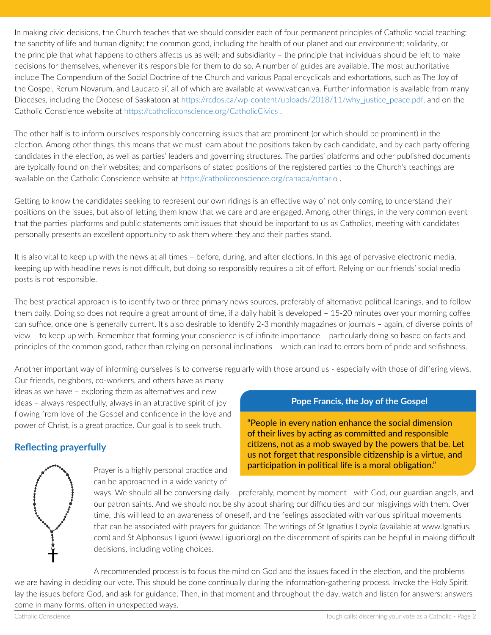In making civic decisions, the Church teaches that we should consider each of four permanent principles of Catholic social teaching: the sanctity of life and human dignity; the common good, including the health of our planet and our environment; solidarity, or the principle that what happens to others affects us as well; and subsidiarity – the principle that individuals should be left to make decisions for themselves, whenever it's responsible for them to do so. A number of guides are available. The most authoritative include The Compendium of the Social Doctrine of the Church and various Papal encyclicals and exhortations, such as The Joy of the Gospel, Rerum Novarum, and Laudato si', all of which are available at www.vatican.va. Further information is available from many Dioceses, including the Diocese of Saskatoon at [https://rcdos.ca/wp-content/uploads/2018/11/why\\_justice\\_peace.pdf,](https://rcdos.ca/wp-content/uploads/2018/11/why_justice_peace.pd) and on the Catholic Conscience website at [https://catholicconscience.org/CatholicCivics](https://catholicconscience.org/catholiccivics/) .

The other half is to inform ourselves responsibly concerning issues that are prominent (or which should be prominent) in the election. Among other things, this means that we must learn about the positions taken by each candidate, and by each party offering candidates in the election, as well as parties' leaders and governing structures. The parties' platforms and other published documents are typically found on their websites; and comparisons of stated positions of the registered parties to the Church's teachings are available on the Catholic Conscience website at [https://catholicconscience.org/canada/ontario](https://catholicconscience.org/canada/ontario/) .

Getting to know the candidates seeking to represent our own ridings is an effective way of not only coming to understand their positions on the issues, but also of letting them know that we care and are engaged. Among other things, in the very common event that the parties' platforms and public statements omit issues that should be important to us as Catholics, meeting with candidates personally presents an excellent opportunity to ask them where they and their parties stand.

It is also vital to keep up with the news at all times – before, during, and after elections. In this age of pervasive electronic media, keeping up with headline news is not difficult, but doing so responsibly requires a bit of effort. Relying on our friends' social media posts is not responsible.

The best practical approach is to identify two or three primary news sources, preferably of alternative political leanings, and to follow them daily. Doing so does not require a great amount of time, if a daily habit is developed – 15-20 minutes over your morning coffee can suffice, once one is generally current. It's also desirable to identify 2-3 monthly magazines or journals – again, of diverse points of view – to keep up with. Remember that forming your conscience is of infinite importance – particularly doing so based on facts and principles of the common good, rather than relying on personal inclinations – which can lead to errors born of pride and selfishness.

Another important way of informing ourselves is to converse regularly with those around us - especially with those of differing views.

Our friends, neighbors, co-workers, and others have as many ideas as we have – exploring them as alternatives and new ideas – always respectfully, always in an attractive spirit of joy flowing from love of the Gospel and confidence in the love and power of Christ, is a great practice. Our goal is to seek truth.

# **Reflecting prayerfully**

Prayer is a highly personal practice and can be approached in a wide variety of

## **Pope Francis, the Joy of the Gospel**

"People in every nation enhance the social dimension of their lives by acting as committed and responsible citizens, not as a mob swayed by the powers that be. Let us not forget that responsible citizenship is a virtue, and participation in political life is a moral obligation."

ways. We should all be conversing daily – preferably, moment by moment - with God, our guardian angels, and our patron saints. And we should not be shy about sharing our difficulties and our misgivings with them. Over time, this will lead to an awareness of oneself, and the feelings associated with various spiritual movements that can be associated with prayers for guidance. The writings of St Ignatius Loyola (available at www.Ignatius. com) and St Alphonsus Liguori (www.Liguori.org) on the discernment of spirits can be helpful in making difficult decisions, including voting choices.

A recommended process is to focus the mind on God and the issues faced in the election, and the problems we are having in deciding our vote. This should be done continually during the information-gathering process. Invoke the Holy Spirit, lay the issues before God, and ask for guidance. Then, in that moment and throughout the day, watch and listen for answers: answers come in many forms, often in unexpected ways.